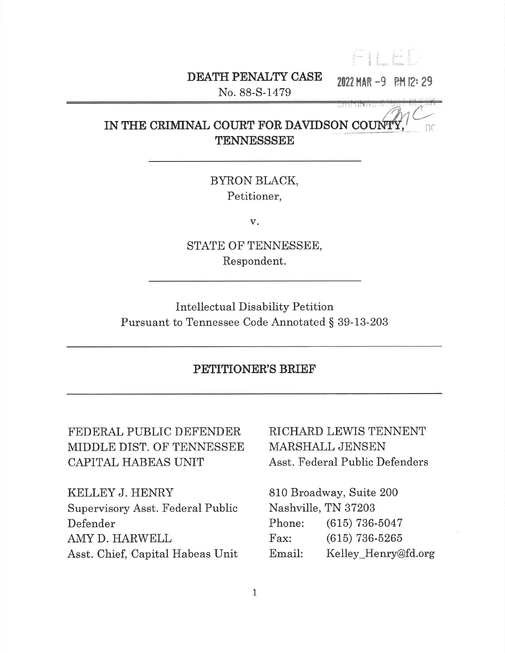$F11F1$ 

# DEATH PENALTY CASE

2022 MAR -9 RM 12:29

No. 88-S-1479

#### IN THE CRIMINAL COURT FOR DAVIDSON COUNTY nc TENNESSSEE

BYRON BLACK, Petitioner,

 $V_{\star}$ 

STATE OF TENNESSEE, Respondent.

**Intellectual Disability Petition** Pursuant to Tennessee Code Annotated § 39-13-203

## PETITIONER'S BRIEF

FEDERAL PUBLIC DEFENDER MIDDLE DIST. OF TENNESSEE CAPITAL HABEAS UNIT

KELLEY J. HENRY Supervisory Asst. Federal Public Defender AMY D. HARWELL Asst. Chief, Capital Habeas Unit

# RICHARD LEWIS TENNENT MARSHALL JENSEN Asst. Federal Public Defenders

810 Broadway, Suite 200 Nashville, TN 37203 Phone:  $(615)$  736-5047  $\Gamma$ ax:  $(615)$  736-5265 Kelley Henry@fd.org Email: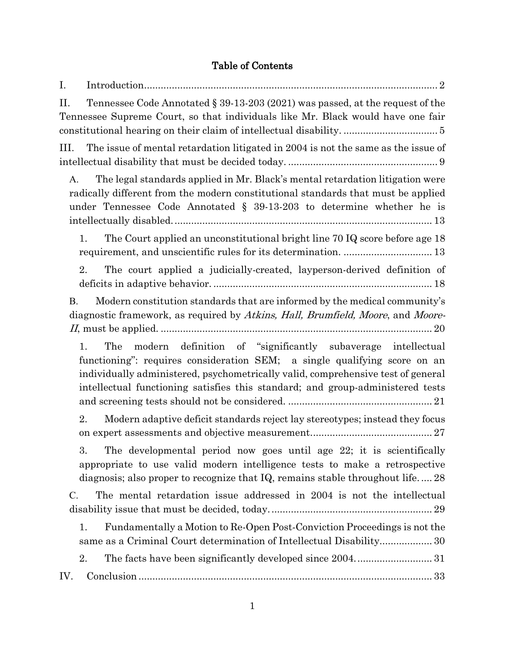# Table of Contents

| I.        |                                                                                                                                                                                                                                                                                                                       |
|-----------|-----------------------------------------------------------------------------------------------------------------------------------------------------------------------------------------------------------------------------------------------------------------------------------------------------------------------|
| II.       | Tennessee Code Annotated § 39-13-203 (2021) was passed, at the request of the<br>Tennessee Supreme Court, so that individuals like Mr. Black would have one fair                                                                                                                                                      |
| III.      | The issue of mental retardation litigated in 2004 is not the same as the issue of                                                                                                                                                                                                                                     |
| A.        | The legal standards applied in Mr. Black's mental retardation litigation were<br>radically different from the modern constitutional standards that must be applied<br>under Tennessee Code Annotated $\S$ 39-13-203 to determine whether he is                                                                        |
| 1.        | The Court applied an unconstitutional bright line 70 IQ score before age 18                                                                                                                                                                                                                                           |
| 2.        | The court applied a judicially-created, layperson-derived definition of                                                                                                                                                                                                                                               |
| <b>B.</b> | Modern constitution standards that are informed by the medical community's<br>diagnostic framework, as required by Atkins, Hall, Brumfield, Moore, and Moore-                                                                                                                                                         |
| 1.        | modern definition of "significantly subaverage intellectual<br>The<br>functioning": requires consideration SEM; a single qualifying score on an<br>individually administered, psychometrically valid, comprehensive test of general<br>intellectual functioning satisfies this standard; and group-administered tests |
| 2.        | Modern adaptive deficit standards reject lay stereotypes; instead they focus                                                                                                                                                                                                                                          |
| 3.        | The developmental period now goes until age 22; it is scientifically<br>appropriate to use valid modern intelligence tests to make a retrospective<br>diagnosis; also proper to recognize that $IQ$ , remains stable throughout life 28                                                                               |
| $C$ .     | The mental retardation issue addressed in 2004 is not the intellectual                                                                                                                                                                                                                                                |
| 1.        | Fundamentally a Motion to Re-Open Post-Conviction Proceedings is not the<br>same as a Criminal Court determination of Intellectual Disability 30                                                                                                                                                                      |
| 2.        | The facts have been significantly developed since 200431                                                                                                                                                                                                                                                              |
| IV.       |                                                                                                                                                                                                                                                                                                                       |
|           |                                                                                                                                                                                                                                                                                                                       |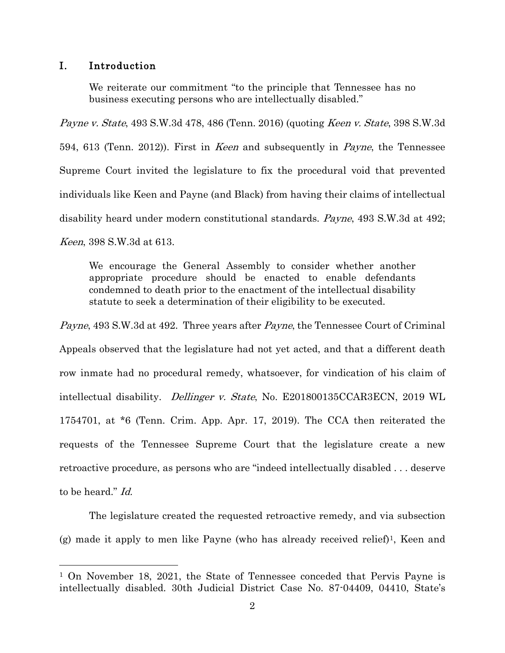#### <span id="page-2-0"></span>I. Introduction

 $\overline{a}$ 

We reiterate our commitment "to the principle that Tennessee has no business executing persons who are intellectually disabled."

Payne v. State, 493 S.W.3d 478, 486 (Tenn. 2016) (quoting Keen v. State, 398 S.W.3d 594, 613 (Tenn. 2012)). First in Keen and subsequently in Payne, the Tennessee Supreme Court invited the legislature to fix the procedural void that prevented individuals like Keen and Payne (and Black) from having their claims of intellectual disability heard under modern constitutional standards. Payne, 493 S.W.3d at 492; Keen, 398 S.W.3d at 613.

We encourage the General Assembly to consider whether another appropriate procedure should be enacted to enable defendants condemned to death prior to the enactment of the intellectual disability statute to seek a determination of their eligibility to be executed.

Payne, 493 S.W.3d at 492. Three years after *Payne*, the Tennessee Court of Criminal Appeals observed that the legislature had not yet acted, and that a different death row inmate had no procedural remedy, whatsoever, for vindication of his claim of intellectual disability. Dellinger v. State, No. E201800135CCAR3ECN, 2019 WL 1754701, at \*6 (Tenn. Crim. App. Apr. 17, 2019). The CCA then reiterated the requests of the Tennessee Supreme Court that the legislature create a new retroactive procedure, as persons who are "indeed intellectually disabled . . . deserve to be heard." Id.

The legislature created the requested retroactive remedy, and via subsection (g) made it apply to men like Payne (who has already received relief)[1](#page-2-1), Keen and

<span id="page-2-1"></span><sup>1</sup> On November 18, 2021, the State of Tennessee conceded that Pervis Payne is intellectually disabled. 30th Judicial District Case No. 87-04409, 04410, State's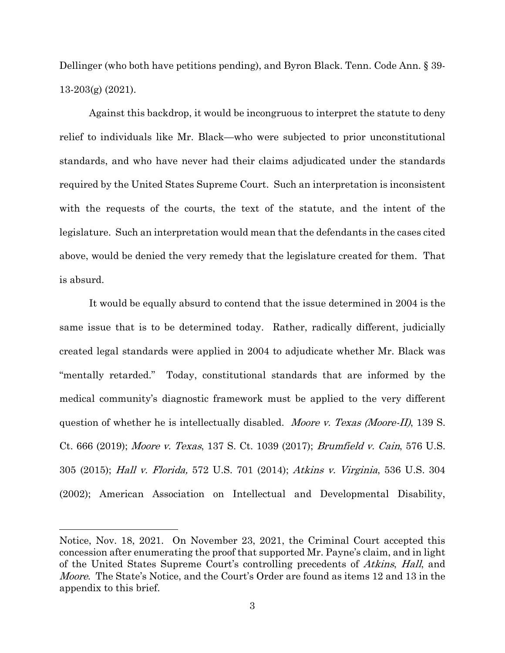Dellinger (who both have petitions pending), and Byron Black. Tenn. Code Ann. § 39- 13-203(g) (2021).

Against this backdrop, it would be incongruous to interpret the statute to deny relief to individuals like Mr. Black—who were subjected to prior unconstitutional standards, and who have never had their claims adjudicated under the standards required by the United States Supreme Court. Such an interpretation is inconsistent with the requests of the courts, the text of the statute, and the intent of the legislature. Such an interpretation would mean that the defendants in the cases cited above, would be denied the very remedy that the legislature created for them. That is absurd.

It would be equally absurd to contend that the issue determined in 2004 is the same issue that is to be determined today. Rather, radically different, judicially created legal standards were applied in 2004 to adjudicate whether Mr. Black was "mentally retarded." Today, constitutional standards that are informed by the medical community's diagnostic framework must be applied to the very different question of whether he is intellectually disabled. *Moore v. Texas (Moore-II)*, 139 S. Ct. 666 (2019); Moore v. Texas, 137 S. Ct. 1039 (2017); Brumfield v. Cain, 576 U.S. 305 (2015); Hall v. Florida, 572 U.S. 701 (2014); Atkins v. Virginia, 536 U.S. 304 (2002); American Association on Intellectual and Developmental Disability,

Notice, Nov. 18, 2021. On November 23, 2021, the Criminal Court accepted this concession after enumerating the proof that supported Mr. Payne's claim, and in light of the United States Supreme Court's controlling precedents of *Atkins*, *Hall*, and *Moore.* The State's Notice, and the Court's Order are found as items 12 and 13 in the appendix to this brief.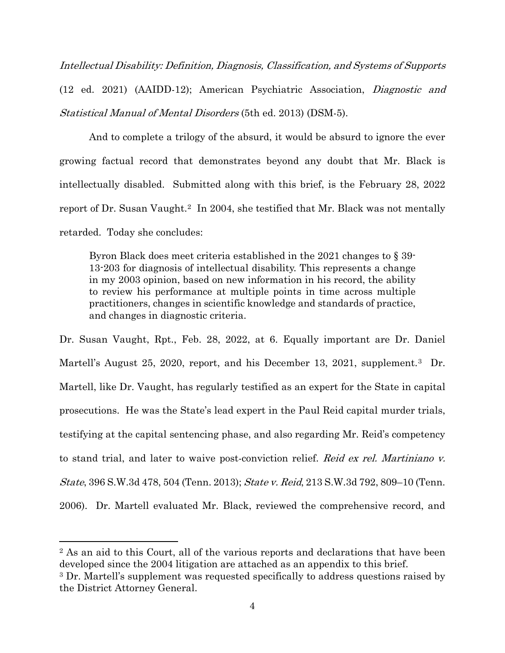Intellectual Disability: Definition, Diagnosis, Classification, and Systems of Supports (12 ed. 2021) (AAIDD-12); American Psychiatric Association, Diagnostic and Statistical Manual of Mental Disorders (5th ed. 2013) (DSM-5).

And to complete a trilogy of the absurd, it would be absurd to ignore the ever growing factual record that demonstrates beyond any doubt that Mr. Black is intellectually disabled. Submitted along with this brief, is the February 28, 2022 report of Dr. Susan Vaught.<sup>2</sup> In 2004, she testified that Mr. Black was not mentally retarded. Today she concludes:

Byron Black does meet criteria established in the 2021 changes to § 39- 13-203 for diagnosis of intellectual disability. This represents a change in my 2003 opinion, based on new information in his record, the ability to review his performance at multiple points in time across multiple practitioners, changes in scientific knowledge and standards of practice, and changes in diagnostic criteria.

Dr. Susan Vaught, Rpt., Feb. 28, 2022, at 6. Equally important are Dr. Daniel Martell's August 25, 2020, report, and his December 13, 2021, supplement.<sup>3</sup> Dr. Martell, like Dr. Vaught, has regularly testified as an expert for the State in capital prosecutions. He was the State's lead expert in the Paul Reid capital murder trials, testifying at the capital sentencing phase, and also regarding Mr. Reid's competency to stand trial, and later to waive post-conviction relief. Reid ex rel. Martiniano v. State, 396 S.W.3d 478, 504 (Tenn. 2013); State v. Reid, 213 S.W.3d 792, 809–10 (Tenn. 2006). Dr. Martell evaluated Mr. Black, reviewed the comprehensive record, and

<span id="page-4-0"></span><sup>2</sup> As an aid to this Court, all of the various reports and declarations that have been developed since the 2004 litigation are attached as an appendix to this brief.

<span id="page-4-1"></span><sup>&</sup>lt;sup>3</sup> Dr. Martell's supplement was requested specifically to address questions raised by the District Attorney General.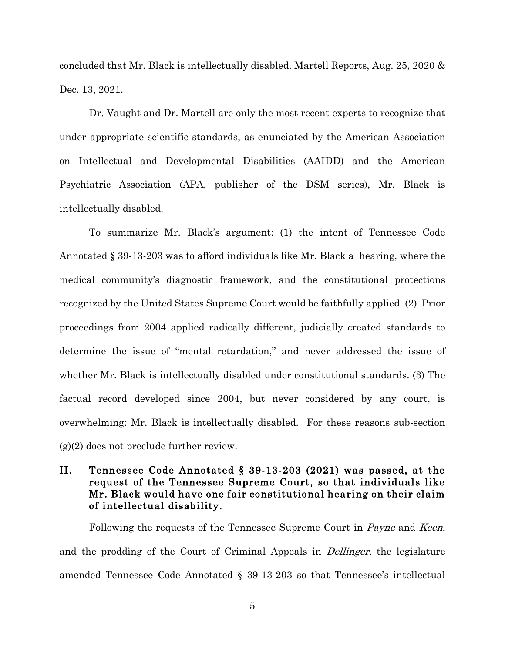concluded that Mr. Black is intellectually disabled. Martell Reports, Aug. 25, 2020 & Dec. 13, 2021.

Dr. Vaught and Dr. Martell are only the most recent experts to recognize that under appropriate scientific standards, as enunciated by the American Association on Intellectual and Developmental Disabilities (AAIDD) and the American Psychiatric Association (APA, publisher of the DSM series), Mr. Black is intellectually disabled.

To summarize Mr. Black's argument: (1) the intent of Tennessee Code Annotated § 39-13-203 was to afford individuals like Mr. Black a hearing, where the medical community's diagnostic framework, and the constitutional protections recognized by the United States Supreme Court would be faithfully applied. (2) Prior proceedings from 2004 applied radically different, judicially created standards to determine the issue of "mental retardation," and never addressed the issue of whether Mr. Black is intellectually disabled under constitutional standards. (3) The factual record developed since 2004, but never considered by any court, is overwhelming: Mr. Black is intellectually disabled. For these reasons sub-section  $(g)(2)$  does not preclude further review.

## <span id="page-5-0"></span>II. Tennessee Code Annotated § 39-13-203 (2021) was passed, at the request of the Tennessee Supreme Court, so that individuals like Mr. Black would have one fair constitutional hearing on their claim of intellectual disability.

Following the requests of the Tennessee Supreme Court in *Payne* and *Keen*, and the prodding of the Court of Criminal Appeals in Dellinger, the legislature amended Tennessee Code Annotated § 39-13-203 so that Tennessee's intellectual

5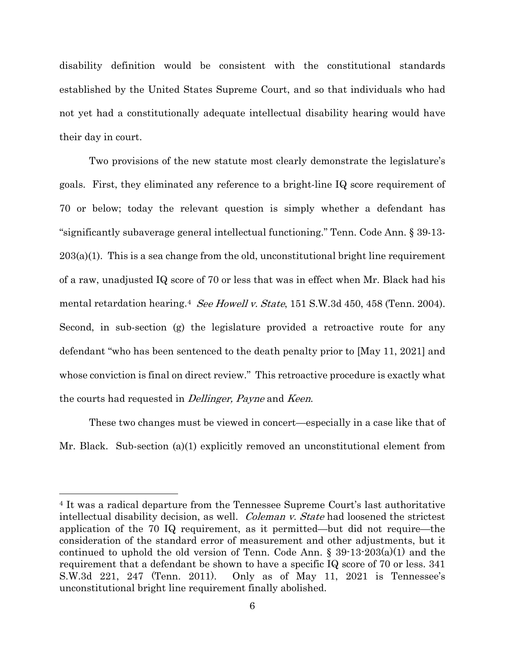disability definition would be consistent with the constitutional standards established by the United States Supreme Court, and so that individuals who had not yet had a constitutionally adequate intellectual disability hearing would have their day in court.

Two provisions of the new statute most clearly demonstrate the legislature's goals. First, they eliminated any reference to a bright-line IQ score requirement of 70 or below; today the relevant question is simply whether a defendant has "significantly subaverage general intellectual functioning." Tenn. Code Ann. § 39-13- 203(a)(1). This is a sea change from the old, unconstitutional bright line requirement of a raw, unadjusted IQ score of 70 or less that was in effect when Mr. Black had his mental retardation hearing.<sup>4</sup> See Howell v. State, 151 S.W.3d 450, 458 (Tenn. 2004). Second, in sub-section (g) the legislature provided a retroactive route for any defendant "who has been sentenced to the death penalty prior to [May 11, 2021] and whose conviction is final on direct review." This retroactive procedure is exactly what the courts had requested in Dellinger, Payne and Keen.

These two changes must be viewed in concert—especially in a case like that of Mr. Black. Sub-section (a)(1) explicitly removed an unconstitutional element from

<span id="page-6-0"></span><sup>4</sup> It was a radical departure from the Tennessee Supreme Court's last authoritative intellectual disability decision, as well. *Coleman v. State* had loosened the strictest application of the 70 IQ requirement, as it permitted—but did not require—the consideration of the standard error of measurement and other adjustments, but it continued to uphold the old version of Tenn. Code Ann. § 39-13-203(a)(1) and the requirement that a defendant be shown to have a specific IQ score of 70 or less. 341 S.W.3d 221, 247 (Tenn. 2011). Only as of May 11, 2021 is Tennessee's unconstitutional bright line requirement finally abolished.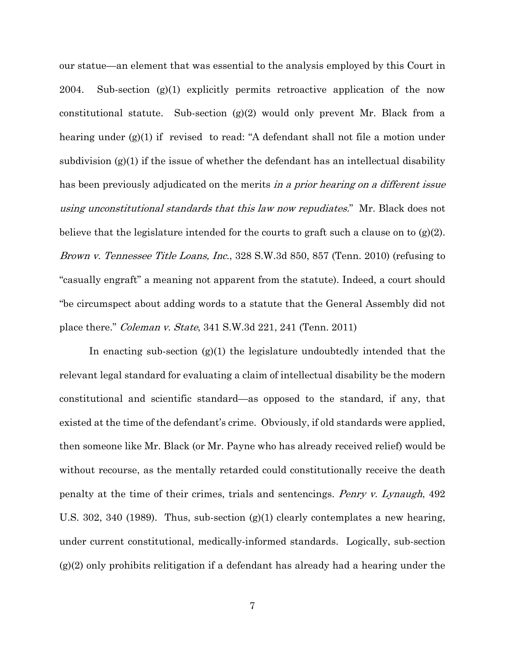our statue—an element that was essential to the analysis employed by this Court in 2004. Sub-section (g)(1) explicitly permits retroactive application of the now constitutional statute. Sub-section (g)(2) would only prevent Mr. Black from a hearing under (g)(1) if revised to read: "A defendant shall not file a motion under subdivision  $(g)(1)$  if the issue of whether the defendant has an intellectual disability has been previously adjudicated on the merits in a prior hearing on a different issue using unconstitutional standards that this law now repudiates." Mr. Black does not believe that the legislature intended for the courts to graft such a clause on to  $(g(2))$ . Brown v. Tennessee Title Loans, Inc., 328 S.W.3d 850, 857 (Tenn. 2010) (refusing to "casually engraft" a meaning not apparent from the statute). Indeed, a court should "be circumspect about adding words to a statute that the General Assembly did not place there." Coleman v. State, 341 S.W.3d 221, 241 (Tenn. 2011)

In enacting sub-section  $(g)(1)$  the legislature undoubtedly intended that the relevant legal standard for evaluating a claim of intellectual disability be the modern constitutional and scientific standard—as opposed to the standard, if any, that existed at the time of the defendant's crime. Obviously, if old standards were applied, then someone like Mr. Black (or Mr. Payne who has already received relief) would be without recourse, as the mentally retarded could constitutionally receive the death penalty at the time of their crimes, trials and sentencings. Penry v. Lynaugh, 492 U.S. 302, 340 (1989). Thus, sub-section  $(g)(1)$  clearly contemplates a new hearing, under current constitutional, medically-informed standards. Logically, sub-section (g)(2) only prohibits relitigation if a defendant has already had a hearing under the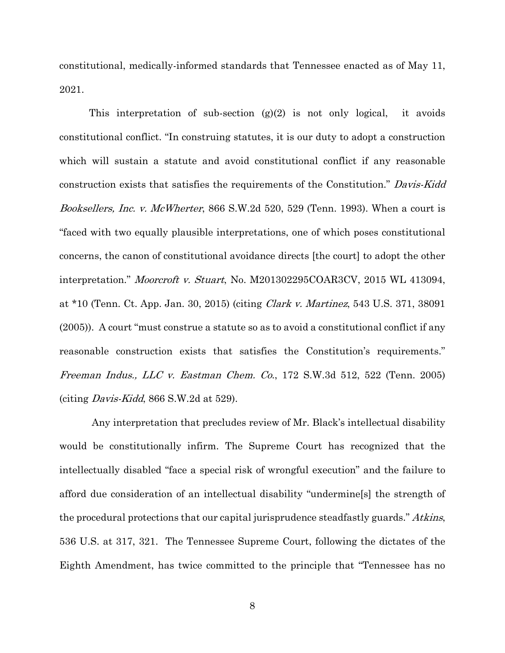constitutional, medically-informed standards that Tennessee enacted as of May 11, 2021.

This interpretation of sub-section  $(g)(2)$  is not only logical, it avoids constitutional conflict. "In construing statutes, it is our duty to adopt a construction which will sustain a statute and avoid constitutional conflict if any reasonable construction exists that satisfies the requirements of the Constitution." Davis-Kidd Booksellers, Inc. v. McWherter, 866 S.W.2d 520, 529 (Tenn. 1993). When a court is "faced with two equally plausible interpretations, one of which poses constitutional concerns, the canon of constitutional avoidance directs [the court] to adopt the other interpretation." Moorcroft v. Stuart, No. M201302295COAR3CV, 2015 WL 413094, at \*10 (Tenn. Ct. App. Jan. 30, 2015) (citing Clark v. Martinez, 543 U.S. 371, 38091 (2005)). A court "must construe a statute so as to avoid a constitutional conflict if any reasonable construction exists that satisfies the Constitution's requirements." Freeman Indus., LLC v. Eastman Chem. Co., 172 S.W.3d 512, 522 (Tenn. 2005) (citing Davis-Kidd, 866 S.W.2d at 529).

Any interpretation that precludes review of Mr. Black's intellectual disability would be constitutionally infirm. The Supreme Court has recognized that the intellectually disabled "face a special risk of wrongful execution" and the failure to afford due consideration of an intellectual disability "undermine[s] the strength of the procedural protections that our capital jurisprudence steadfastly guards." Atkins, 536 U.S. at 317, 321. The Tennessee Supreme Court, following the dictates of the Eighth Amendment, has twice committed to the principle that "Tennessee has no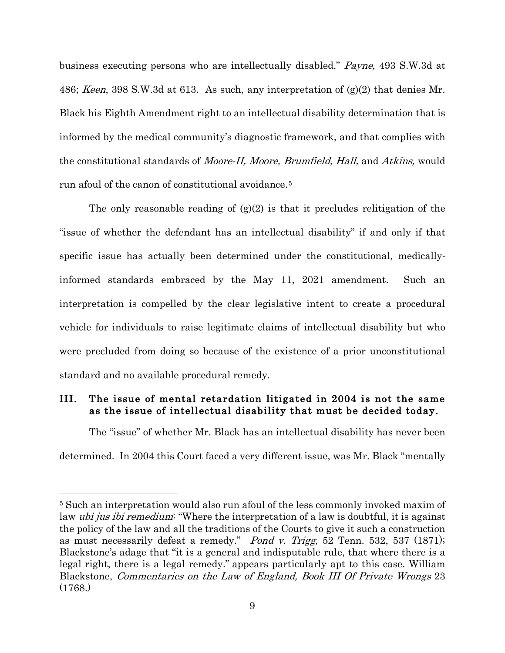business executing persons who are intellectually disabled." Payne, 493 S.W.3d at 486; *Keen*, 398 S.W.3d at 613. As such, any interpretation of  $(g)(2)$  that denies Mr. Black his Eighth Amendment right to an intellectual disability determination that is informed by the medical community's diagnostic framework, and that complies with the constitutional standards of Moore-II, Moore, Brumfield, Hall, and Atkins, would run afoul of the canon of constitutional avoidance.[5](#page-9-1)

The only reasonable reading of  $(g)(2)$  is that it precludes relitigation of the "issue of whether the defendant has an intellectual disability" if and only if that specific issue has actually been determined under the constitutional, medicallyinformed standards embraced by the May 11, 2021 amendment. Such an interpretation is compelled by the clear legislative intent to create a procedural vehicle for individuals to raise legitimate claims of intellectual disability but who were precluded from doing so because of the existence of a prior unconstitutional standard and no available procedural remedy.

### <span id="page-9-0"></span>III. The issue of mental retardation litigated in 2004 is not the same as the issue of intellectual disability that must be decided today.

The "issue" of whether Mr. Black has an intellectual disability has never been determined. In 2004 this Court faced a very different issue, was Mr. Black "mentally

<span id="page-9-1"></span><sup>5</sup> Such an interpretation would also run afoul of the less commonly invoked maxim of law *ubi jus ibi remedium*: "Where the interpretation of a law is doubtful, it is against the policy of the law and all the traditions of the Courts to give it such a construction as must necessarily defeat a remedy." Pond v. Trigg, 52 Tenn. 532, 537 (1871); Blackstone's adage that "it is a general and indisputable rule, that where there is a legal right, there is a legal remedy." appears particularly apt to this case. William Blackstone, Commentaries on the Law of England, Book III Of Private Wrongs 23 (1768.)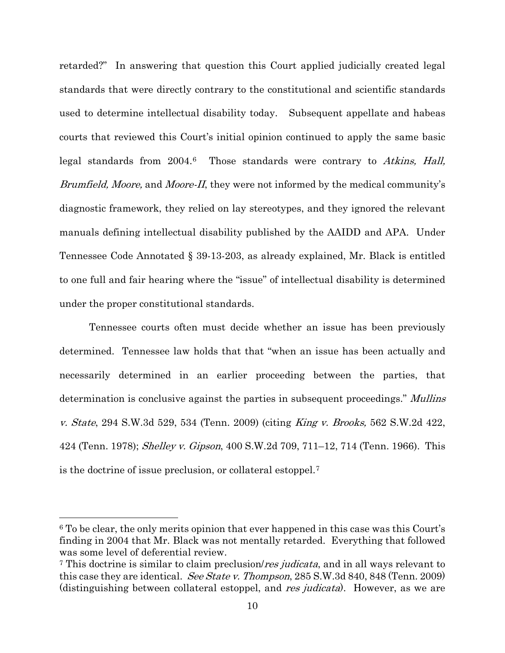retarded?" In answering that question this Court applied judicially created legal standards that were directly contrary to the constitutional and scientific standards used to determine intellectual disability today. Subsequent appellate and habeas courts that reviewed this Court's initial opinion continued to apply the same basic legal standards from 2004.[6](#page-10-0) Those standards were contrary to Atkins, Hall, Brumfield, Moore, and Moore-II, they were not informed by the medical community's diagnostic framework, they relied on lay stereotypes, and they ignored the relevant manuals defining intellectual disability published by the AAIDD and APA. Under Tennessee Code Annotated § 39-13-203, as already explained, Mr. Black is entitled to one full and fair hearing where the "issue" of intellectual disability is determined under the proper constitutional standards.

Tennessee courts often must decide whether an issue has been previously determined. Tennessee law holds that that "when an issue has been actually and necessarily determined in an earlier proceeding between the parties, that determination is conclusive against the parties in subsequent proceedings." Mullins v. State, 294 S.W.3d 529, 534 (Tenn. 2009) (citing King v. Brooks, 562 S.W.2d 422, 424 (Tenn. 1978); Shelley v. Gipson, 400 S.W.2d 709, 711–12, 714 (Tenn. 1966). This is the doctrine of issue preclusion, or collateral estoppel.[7](#page-10-1)

<span id="page-10-0"></span><sup>6</sup> To be clear, the only merits opinion that ever happened in this case was this Court's finding in 2004 that Mr. Black was not mentally retarded. Everything that followed was some level of deferential review.

<span id="page-10-1"></span><sup>&</sup>lt;sup>7</sup> This doctrine is similar to claim preclusion/*res judicata*, and in all ways relevant to this case they are identical. See State v. Thompson, 285 S.W.3d 840, 848 (Tenn. 2009) (distinguishing between collateral estoppel, and res judicata). However, as we are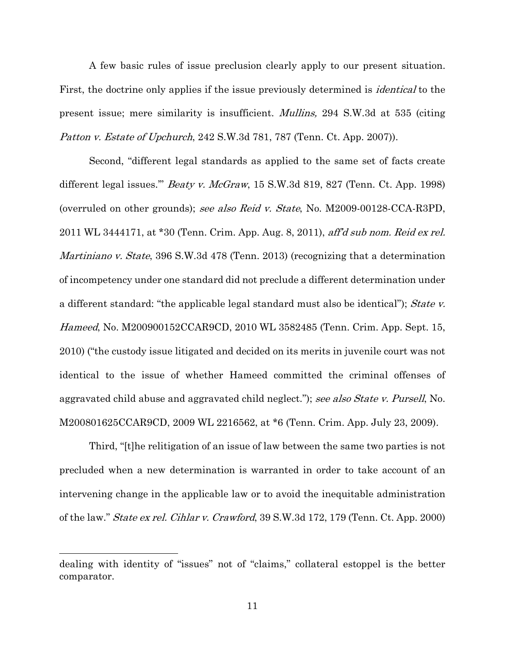A few basic rules of issue preclusion clearly apply to our present situation. First, the doctrine only applies if the issue previously determined is *identical* to the present issue; mere similarity is insufficient. Mullins, 294 S.W.3d at 535 (citing Patton v. Estate of Upchurch, 242 S.W.3d 781, 787 (Tenn. Ct. App. 2007)).

Second, "different legal standards as applied to the same set of facts create different legal issues." *Beaty v. McGraw*, 15 S.W.3d 819, 827 (Tenn. Ct. App. 1998) (overruled on other grounds); see also Reid v. State, No. M2009-00128-CCA-R3PD, 2011 WL 3444171, at \*30 (Tenn. Crim. App. Aug. 8, 2011), aff'd sub nom. Reid ex rel. Martiniano v. State, 396 S.W.3d 478 (Tenn. 2013) (recognizing that a determination of incompetency under one standard did not preclude a different determination under a different standard: "the applicable legal standard must also be identical"); State v. Hameed, No. M200900152CCAR9CD, 2010 WL 3582485 (Tenn. Crim. App. Sept. 15, 2010) ("the custody issue litigated and decided on its merits in juvenile court was not identical to the issue of whether Hameed committed the criminal offenses of aggravated child abuse and aggravated child neglect."); see also State v. Pursell, No. M200801625CCAR9CD, 2009 WL 2216562, at \*6 (Tenn. Crim. App. July 23, 2009).

Third, "[t]he relitigation of an issue of law between the same two parties is not precluded when a new determination is warranted in order to take account of an intervening change in the applicable law or to avoid the inequitable administration of the law." State ex rel. Cihlar v. Crawford, 39 S.W.3d 172, 179 (Tenn. Ct. App. 2000)

dealing with identity of "issues" not of "claims," collateral estoppel is the better comparator.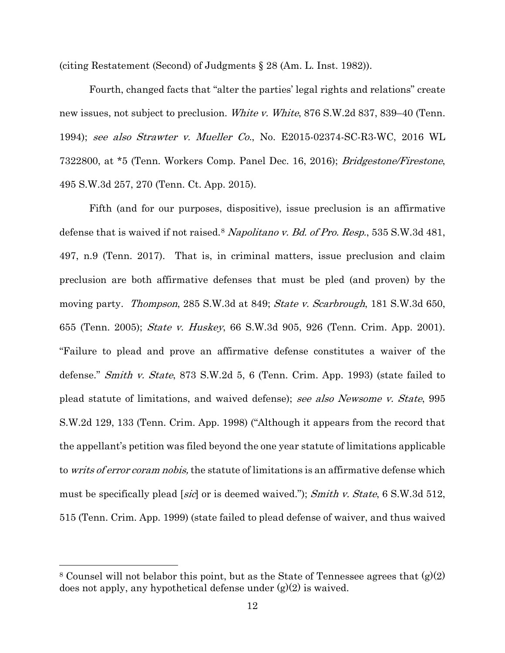(citing Restatement (Second) of Judgments § 28 (Am. L. Inst. 1982)).

Fourth, changed facts that "alter the parties' legal rights and relations" create new issues, not subject to preclusion. White v. White, 876 S.W.2d 837, 839–40 (Tenn.) 1994); see also Strawter v. Mueller Co., No. E2015-02374-SC-R3-WC, 2016 WL 7322800, at \*5 (Tenn. Workers Comp. Panel Dec. 16, 2016); Bridgestone/Firestone, 495 S.W.3d 257, 270 (Tenn. Ct. App. 2015).

Fifth (and for our purposes, dispositive), issue preclusion is an affirmative defense that is waived if not raised.<sup>[8](#page-12-0)</sup> Napolitano v. Bd. of Pro. Resp., 535 S.W.3d 481, 497, n.9 (Tenn. 2017). That is, in criminal matters, issue preclusion and claim preclusion are both affirmative defenses that must be pled (and proven) by the moving party. *Thompson*, 285 S.W.3d at 849; *State v. Scarbrough*, 181 S.W.3d 650, 655 (Tenn. 2005); State v. Huskey, 66 S.W.3d 905, 926 (Tenn. Crim. App. 2001). "Failure to plead and prove an affirmative defense constitutes a waiver of the defense." Smith v. State, 873 S.W.2d 5, 6 (Tenn. Crim. App. 1993) (state failed to plead statute of limitations, and waived defense); see also Newsome v. State, 995 S.W.2d 129, 133 (Tenn. Crim. App. 1998) ("Although it appears from the record that the appellant's petition was filed beyond the one year statute of limitations applicable to *writs of error coram nobis*, the statute of limitations is an affirmative defense which must be specifically plead [sic] or is deemed waived."); Smith v. State, 6 S.W.3d 512, 515 (Tenn. Crim. App. 1999) (state failed to plead defense of waiver, and thus waived

<span id="page-12-0"></span><sup>&</sup>lt;sup>8</sup> Counsel will not belabor this point, but as the State of Tennessee agrees that  $(g)(2)$ does not apply, any hypothetical defense under  $(g)(2)$  is waived.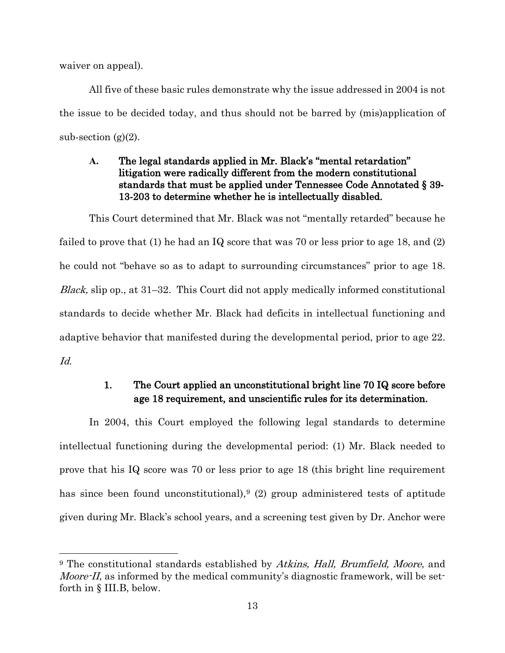waiver on appeal).

 $\overline{a}$ 

All five of these basic rules demonstrate why the issue addressed in 2004 is not the issue to be decided today, and thus should not be barred by (mis)application of sub-section  $(g)(2)$ .

#### <span id="page-13-0"></span>**A.** The legal standards applied in Mr. Black's "mental retardation" litigation were radically different from the modern constitutional standards that must be applied under Tennessee Code Annotated § 39- 13-203 to determine whether he is intellectually disabled.

This Court determined that Mr. Black was not "mentally retarded" because he failed to prove that (1) he had an IQ score that was 70 or less prior to age 18, and (2) he could not "behave so as to adapt to surrounding circumstances" prior to age 18. Black, slip op., at 31–32. This Court did not apply medically informed constitutional standards to decide whether Mr. Black had deficits in intellectual functioning and adaptive behavior that manifested during the developmental period, prior to age 22. Id.

## 1. The Court applied an unconstitutional bright line 70 IQ score before age 18 requirement, and unscientific rules for its determination.

<span id="page-13-1"></span>In 2004, this Court employed the following legal standards to determine intellectual functioning during the developmental period: (1) Mr. Black needed to prove that his IQ score was 70 or less prior to age 18 (this bright line requirement has since been found unconstitutional),<sup>[9](#page-13-2)</sup> (2) group administered tests of aptitude given during Mr. Black's school years, and a screening test given by Dr. Anchor were

<span id="page-13-2"></span><sup>&</sup>lt;sup>9</sup> The constitutional standards established by Atkins, Hall, Brumfield, Moore, and *Moore-II*, as informed by the medical community's diagnostic framework, will be setforth in § III.B, below.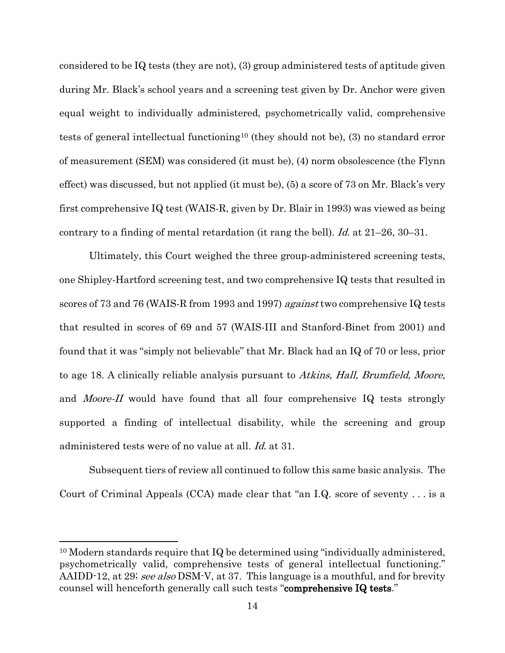considered to be IQ tests (they are not), (3) group administered tests of aptitude given during Mr. Black's school years and a screening test given by Dr. Anchor were given equal weight to individually administered, psychometrically valid, comprehensive tests of general intellectual functioning[10](#page-14-0) (they should not be), (3) no standard error of measurement (SEM) was considered (it must be), (4) norm obsolescence (the Flynn effect) was discussed, but not applied (it must be), (5) a score of 73 on Mr. Black's very first comprehensive IQ test (WAIS-R, given by Dr. Blair in 1993) was viewed as being contrary to a finding of mental retardation (it rang the bell). Id. at  $21-26$ ,  $30-31$ .

Ultimately, this Court weighed the three group-administered screening tests, one Shipley-Hartford screening test, and two comprehensive IQ tests that resulted in scores of 73 and 76 (WAIS-R from 1993 and 1997) against two comprehensive IQ tests that resulted in scores of 69 and 57 (WAIS-III and Stanford-Binet from 2001) and found that it was "simply not believable" that Mr. Black had an IQ of 70 or less, prior to age 18. A clinically reliable analysis pursuant to Atkins, Hall, Brumfield, Moore, and *Moore-II* would have found that all four comprehensive IQ tests strongly supported a finding of intellectual disability, while the screening and group administered tests were of no value at all. Id. at 31.

Subsequent tiers of review all continued to follow this same basic analysis. The Court of Criminal Appeals (CCA) made clear that "an I.Q. score of seventy . . . is a

<span id="page-14-0"></span><sup>&</sup>lt;sup>10</sup> Modern standards require that IQ be determined using "individually administered, psychometrically valid, comprehensive tests of general intellectual functioning." AAIDD-12, at 29; see also DSM-V, at 37. This language is a mouthful, and for brevity counsel will henceforth generally call such tests "comprehensive IQ tests."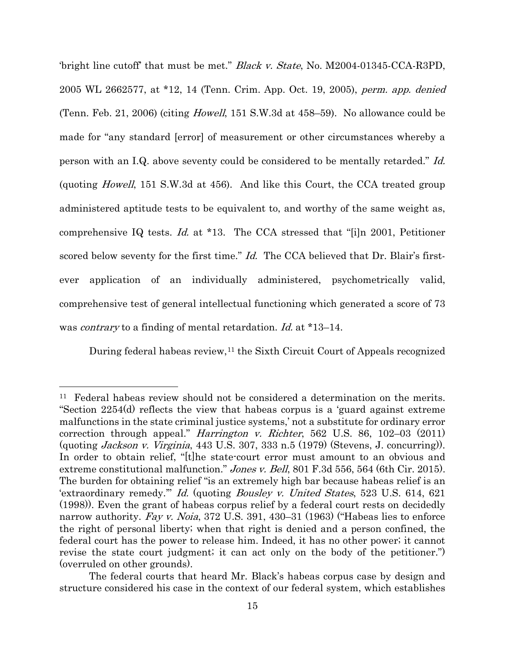'bright line cutoff' that must be met." Black v. State, No. M2004-01345-CCA-R3PD, 2005 WL 2662577, at \*12, 14 (Tenn. Crim. App. Oct. 19, 2005), perm. app. denied (Tenn. Feb. 21, 2006) (citing Howell, 151 S.W.3d at 458–59). No allowance could be made for "any standard [error] of measurement or other circumstances whereby a person with an I.Q. above seventy could be considered to be mentally retarded." Id. (quoting Howell, 151 S.W.3d at 456). And like this Court, the CCA treated group administered aptitude tests to be equivalent to, and worthy of the same weight as, comprehensive IQ tests. Id. at \*13. The CCA stressed that "[i]n 2001, Petitioner scored below seventy for the first time." Id. The CCA believed that Dr. Blair's firstever application of an individually administered, psychometrically valid, comprehensive test of general intellectual functioning which generated a score of 73 was *contrary* to a finding of mental retardation. *Id.* at \*13–14.

During federal habeas review,<sup>[11](#page-15-0)</sup> the Sixth Circuit Court of Appeals recognized

<span id="page-15-0"></span><sup>11</sup> Federal habeas review should not be considered a determination on the merits. "Section 2254(d) reflects the view that habeas corpus is a 'guard against extreme malfunctions in the state criminal justice systems,' not a substitute for ordinary error correction through appeal." Harrington v. Richter, 562 U.S. 86, 102–03 (2011) (quoting Jackson v. Virginia, 443 U.S. 307, 333 n.5 (1979) (Stevens, J. concurring)). In order to obtain relief, "[t]he state-court error must amount to an obvious and extreme constitutional malfunction." Jones v. Bell, 801 F.3d 556, 564 (6th Cir. 2015). The burden for obtaining relief "is an extremely high bar because habeas relief is an 'extraordinary remedy.'" Id. (quoting Bousley v. United States, 523 U.S. 614, 621 (1998)). Even the grant of habeas corpus relief by a federal court rests on decidedly narrow authority. Fay v. Noia, 372 U.S. 391, 430–31 (1963) ("Habeas lies to enforce the right of personal liberty; when that right is denied and a person confined, the federal court has the power to release him. Indeed, it has no other power; it cannot revise the state court judgment; it can act only on the body of the petitioner.") (overruled on other grounds).

The federal courts that heard Mr. Black's habeas corpus case by design and structure considered his case in the context of our federal system, which establishes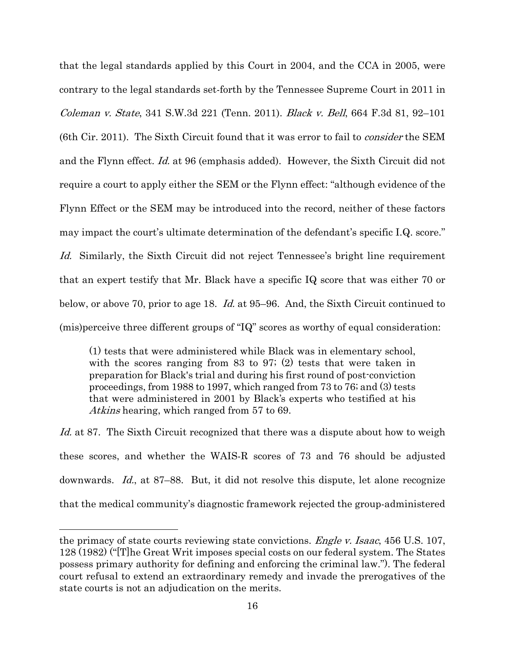that the legal standards applied by this Court in 2004, and the CCA in 2005, were contrary to the legal standards set-forth by the Tennessee Supreme Court in 2011 in Coleman v. State, 341 S.W.3d 221 (Tenn. 2011). Black v. Bell, 664 F.3d 81, 92–101 (6th Cir. 2011). The Sixth Circuit found that it was error to fail to consider the SEM and the Flynn effect. Id. at 96 (emphasis added). However, the Sixth Circuit did not require a court to apply either the SEM or the Flynn effect: "although evidence of the Flynn Effect or the SEM may be introduced into the record, neither of these factors may impact the court's ultimate determination of the defendant's specific I.Q. score." Id. Similarly, the Sixth Circuit did not reject Tennessee's bright line requirement that an expert testify that Mr. Black have a specific IQ score that was either 70 or below, or above 70, prior to age 18. *Id.* at 95–96. And, the Sixth Circuit continued to (mis)perceive three different groups of "IQ" scores as worthy of equal consideration:

(1) tests that were administered while Black was in elementary school, with the scores ranging from 83 to 97; (2) tests that were taken in preparation for Black's trial and during his first round of post-conviction proceedings, from 1988 to 1997, which ranged from 73 to 76; and (3) tests that were administered in 2001 by Black's experts who testified at his Atkins hearing, which ranged from 57 to 69.

Id. at 87. The Sixth Circuit recognized that there was a dispute about how to weigh these scores, and whether the WAIS-R scores of 73 and 76 should be adjusted downwards. Id., at 87–88. But, it did not resolve this dispute, let alone recognize that the medical community's diagnostic framework rejected the group-administered

the primacy of state courts reviewing state convictions. *Engle v. Isaac*, 456 U.S. 107, 128 (1982) ("[T]he Great Writ imposes special costs on our federal system. The States possess primary authority for defining and enforcing the criminal law."). The federal court refusal to extend an extraordinary remedy and invade the prerogatives of the state courts is not an adjudication on the merits.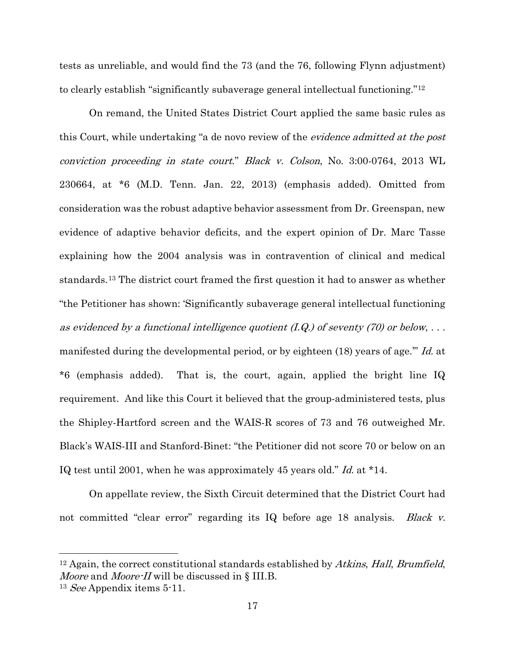tests as unreliable, and would find the 73 (and the 76, following Flynn adjustment) to clearly establish "significantly subaverage general intellectual functioning."[12](#page-17-0)

On remand, the United States District Court applied the same basic rules as this Court, while undertaking "a de novo review of the *evidence admitted at the post* conviction proceeding in state court." Black v. Colson, No. 3:00-0764, 2013 WL 230664, at \*6 (M.D. Tenn. Jan. 22, 2013) (emphasis added). Omitted from consideration was the robust adaptive behavior assessment from Dr. Greenspan, new evidence of adaptive behavior deficits, and the expert opinion of Dr. Marc Tasse explaining how the 2004 analysis was in contravention of clinical and medical standards.[13](#page-17-1) The district court framed the first question it had to answer as whether "the Petitioner has shown: 'Significantly subaverage general intellectual functioning as evidenced by a functional intelligence quotient  $(I,Q)$  of seventy (70) or below,  $\dots$ manifested during the developmental period, or by eighteen (18) years of age." Id. at \*6 (emphasis added). That is, the court, again, applied the bright line IQ requirement. And like this Court it believed that the group-administered tests, plus the Shipley-Hartford screen and the WAIS-R scores of 73 and 76 outweighed Mr. Black's WAIS-III and Stanford-Binet: "the Petitioner did not score 70 or below on an IQ test until 2001, when he was approximately 45 years old." Id. at \*14.

On appellate review, the Sixth Circuit determined that the District Court had not committed "clear error" regarding its IQ before age 18 analysis. Black v.

<span id="page-17-0"></span> $12$  Again, the correct constitutional standards established by Atkins, Hall, Brumfield, Moore and Moore-II will be discussed in § III.B.

<span id="page-17-1"></span><sup>&</sup>lt;sup>13</sup> See Appendix items  $5-11$ .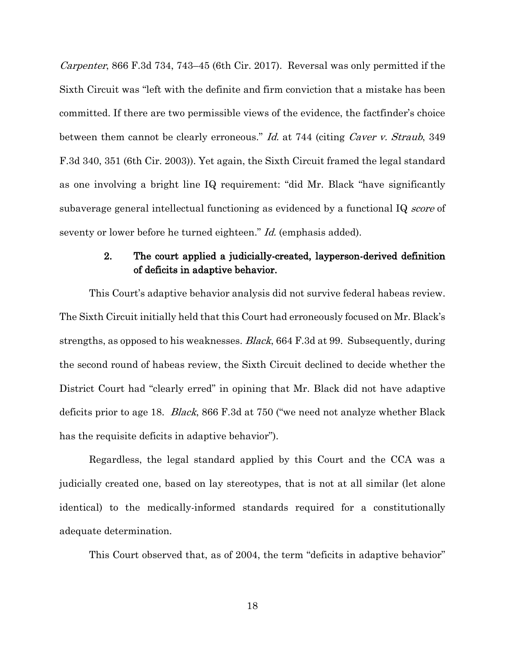Carpenter, 866 F.3d 734, 743–45 (6th Cir. 2017). Reversal was only permitted if the Sixth Circuit was "left with the definite and firm conviction that a mistake has been committed. If there are two permissible views of the evidence, the factfinder's choice between them cannot be clearly erroneous." Id. at 744 (citing Caver v. Straub, 349 F.3d 340, 351 (6th Cir. 2003)). Yet again, the Sixth Circuit framed the legal standard as one involving a bright line IQ requirement: "did Mr. Black "have significantly subaverage general intellectual functioning as evidenced by a functional IQ *score* of seventy or lower before he turned eighteen." *Id.* (emphasis added).

## 2. The court applied a judicially-created, layperson-derived definition of deficits in adaptive behavior.

<span id="page-18-0"></span>This Court's adaptive behavior analysis did not survive federal habeas review. The Sixth Circuit initially held that this Court had erroneously focused on Mr. Black's strengths, as opposed to his weaknesses. Black, 664 F.3d at 99. Subsequently, during the second round of habeas review, the Sixth Circuit declined to decide whether the District Court had "clearly erred" in opining that Mr. Black did not have adaptive deficits prior to age 18. Black, 866 F.3d at 750 ("we need not analyze whether Black has the requisite deficits in adaptive behavior").

Regardless, the legal standard applied by this Court and the CCA was a judicially created one, based on lay stereotypes, that is not at all similar (let alone identical) to the medically-informed standards required for a constitutionally adequate determination.

This Court observed that, as of 2004, the term "deficits in adaptive behavior"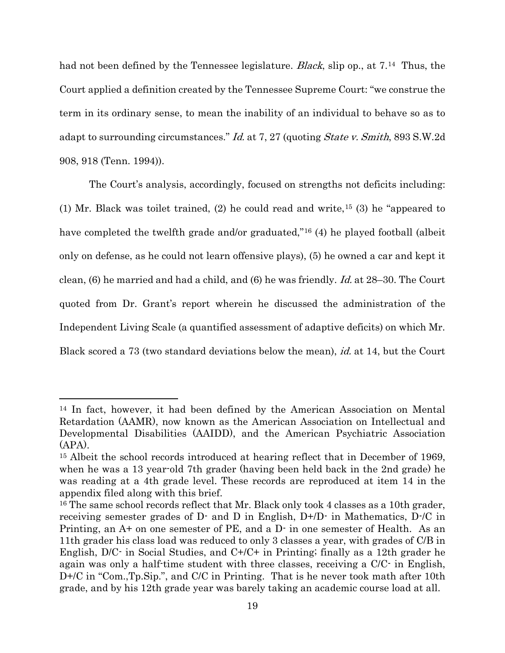had not been defined by the Tennessee legislature. *Black*, slip op., at 7.<sup>[14](#page-19-0)</sup> Thus, the Court applied a definition created by the Tennessee Supreme Court: "we construe the term in its ordinary sense, to mean the inability of an individual to behave so as to adapt to surrounding circumstances." Id. at 7, 27 (quoting State v. Smith, 893 S.W.2d 908, 918 (Tenn. 1994)).

The Court's analysis, accordingly, focused on strengths not deficits including: (1) Mr. Black was toilet trained, (2) he could read and write,[15](#page-19-1) (3) he "appeared to have completed the twelfth grade and/or graduated,"<sup>[16](#page-19-2)</sup> (4) he played football (albeit only on defense, as he could not learn offensive plays), (5) he owned a car and kept it clean, (6) he married and had a child, and (6) he was friendly. *Id.* at 28–30. The Court quoted from Dr. Grant's report wherein he discussed the administration of the Independent Living Scale (a quantified assessment of adaptive deficits) on which Mr. Black scored a 73 (two standard deviations below the mean), id. at 14, but the Court

<span id="page-19-0"></span><sup>14</sup> In fact, however, it had been defined by the American Association on Mental Retardation (AAMR), now known as the American Association on Intellectual and Developmental Disabilities (AAIDD), and the American Psychiatric Association (APA).

<span id="page-19-1"></span><sup>15</sup> Albeit the school records introduced at hearing reflect that in December of 1969, when he was a 13 year-old 7th grader (having been held back in the 2nd grade) he was reading at a 4th grade level. These records are reproduced at item 14 in the appendix filed along with this brief.

<span id="page-19-2"></span><sup>&</sup>lt;sup>16</sup> The same school records reflect that Mr. Black only took 4 classes as a 10th grader, receiving semester grades of D- and D in English, D+/D- in Mathematics, D-/C in Printing, an A+ on one semester of PE, and a D- in one semester of Health. As an 11th grader his class load was reduced to only 3 classes a year, with grades of C/B in English, D/C- in Social Studies, and C+/C+ in Printing; finally as a 12th grader he again was only a half-time student with three classes, receiving a C/C- in English, D+/C in "Com.,Tp.Sip.", and C/C in Printing. That is he never took math after 10th grade, and by his 12th grade year was barely taking an academic course load at all.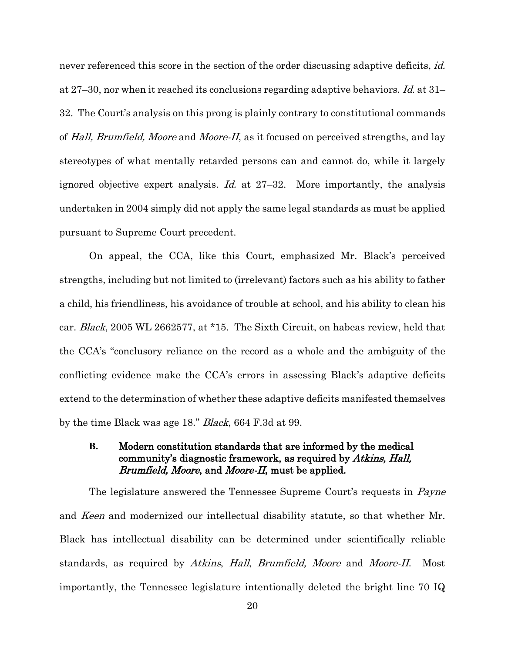never referenced this score in the section of the order discussing adaptive deficits, *id.* at 27–30, nor when it reached its conclusions regarding adaptive behaviors. Id. at 31– 32. The Court's analysis on this prong is plainly contrary to constitutional commands of Hall, Brumfield, Moore and Moore-II, as it focused on perceived strengths, and lay stereotypes of what mentally retarded persons can and cannot do, while it largely ignored objective expert analysis. Id. at  $27-32$ . More importantly, the analysis undertaken in 2004 simply did not apply the same legal standards as must be applied pursuant to Supreme Court precedent.

On appeal, the CCA, like this Court, emphasized Mr. Black's perceived strengths, including but not limited to (irrelevant) factors such as his ability to father a child, his friendliness, his avoidance of trouble at school, and his ability to clean his car. Black, 2005 WL 2662577, at \*15. The Sixth Circuit, on habeas review, held that the CCA's "conclusory reliance on the record as a whole and the ambiguity of the conflicting evidence make the CCA's errors in assessing Black's adaptive deficits extend to the determination of whether these adaptive deficits manifested themselves by the time Black was age 18." Black, 664 F.3d at 99.

#### <span id="page-20-0"></span>**B.** Modern constitution standards that are informed by the medical community's diagnostic framework, as required by Atkins, Hall, Brumfield, Moore, and Moore-II, must be applied.

The legislature answered the Tennessee Supreme Court's requests in *Payne* and *Keen* and modernized our intellectual disability statute, so that whether Mr. Black has intellectual disability can be determined under scientifically reliable standards, as required by Atkins, Hall, Brumfield, Moore and Moore-II. Most importantly, the Tennessee legislature intentionally deleted the bright line 70 IQ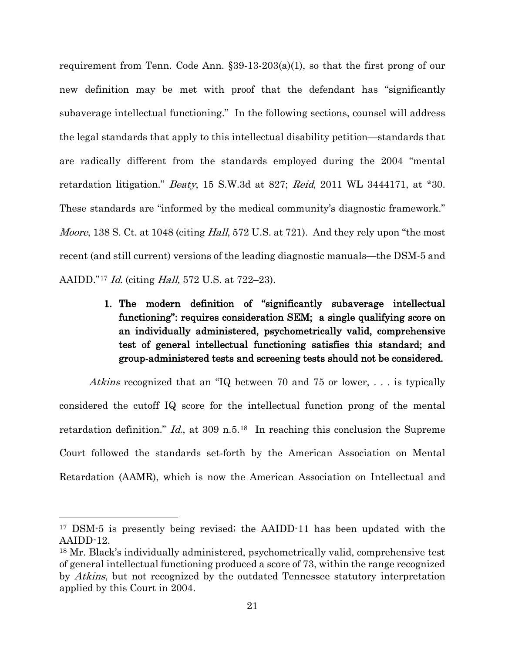requirement from Tenn. Code Ann. §39-13-203(a)(1), so that the first prong of our new definition may be met with proof that the defendant has "significantly subaverage intellectual functioning." In the following sections, counsel will address the legal standards that apply to this intellectual disability petition—standards that are radically different from the standards employed during the 2004 "mental retardation litigation." Beaty, 15 S.W.3d at 827; Reid, 2011 WL 3444171, at \*30. These standards are "informed by the medical community's diagnostic framework." *Moore*, 138 S. Ct. at 1048 (citing *Hall*, 572 U.S. at 721). And they rely upon "the most" recent (and still current) versions of the leading diagnostic manuals—the DSM-5 and AAIDD."[17](#page-21-1) Id. (citing Hall, 572 U.S. at 722–23).

> <span id="page-21-0"></span>1. The modern definition of "significantly subaverage intellectual functioning": requires consideration SEM; a single qualifying score on an individually administered, psychometrically valid, comprehensive test of general intellectual functioning satisfies this standard; and group-administered tests and screening tests should not be considered.

Atkins recognized that an "IQ between 70 and 75 or lower, ... is typically considered the cutoff IQ score for the intellectual function prong of the mental retardation definition." Id., at 309 n.5.<sup>[18](#page-21-2)</sup> In reaching this conclusion the Supreme Court followed the standards set-forth by the American Association on Mental Retardation (AAMR), which is now the American Association on Intellectual and

<span id="page-21-1"></span><sup>17</sup> DSM-5 is presently being revised; the AAIDD-11 has been updated with the AAIDD-12.

<span id="page-21-2"></span><sup>18</sup> Mr. Black's individually administered, psychometrically valid, comprehensive test of general intellectual functioning produced a score of 73, within the range recognized by *Atkins*, but not recognized by the outdated Tennessee statutory interpretation applied by this Court in 2004.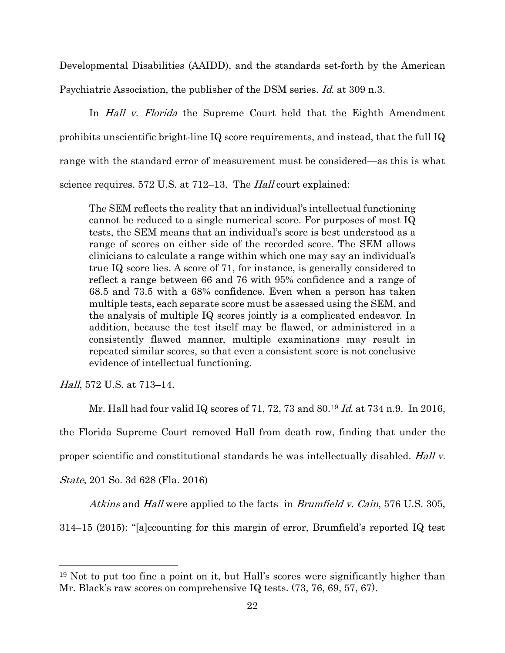Developmental Disabilities (AAIDD), and the standards set-forth by the American Psychiatric Association, the publisher of the DSM series. *Id.* at 309 n.3.

In *Hall v. Florida* the Supreme Court held that the Eighth Amendment prohibits unscientific bright-line IQ score requirements, and instead, that the full IQ range with the standard error of measurement must be considered—as this is what science requires. 572 U.S. at 712–13. The *Hall* court explained:

The SEM reflects the reality that an individual's intellectual functioning cannot be reduced to a single numerical score. For purposes of most IQ tests, the SEM means that an individual's score is best understood as a range of scores on either side of the recorded score. The SEM allows clinicians to calculate a range within which one may say an individual's true IQ score lies. A score of 71, for instance, is generally considered to reflect a range between 66 and 76 with 95% confidence and a range of 68.5 and 73.5 with a 68% confidence. Even when a person has taken multiple tests, each separate score must be assessed using the SEM, and the analysis of multiple IQ scores jointly is a complicated endeavor. In addition, because the test itself may be flawed, or administered in a consistently flawed manner, multiple examinations may result in repeated similar scores, so that even a consistent score is not conclusive evidence of intellectual functioning.

Hall, 572 U.S. at 713–14.

Mr. Hall had four valid IQ scores of 71, 72, 73 and 80.<sup>[19](#page-22-0)</sup> *Id.* at 734 n.9. In 2016,

the Florida Supreme Court removed Hall from death row, finding that under the

proper scientific and constitutional standards he was intellectually disabled. Hall v.

State, 201 So. 3d 628 (Fla. 2016)

 $\overline{a}$ 

Atkins and Hall were applied to the facts in Brumfield v. Cain, 576 U.S. 305,

314–15 (2015): "[a]ccounting for this margin of error, Brumfield's reported IQ test

<span id="page-22-0"></span><sup>19</sup> Not to put too fine a point on it, but Hall's scores were significantly higher than Mr. Black's raw scores on comprehensive IQ tests. (73, 76, 69, 57, 67).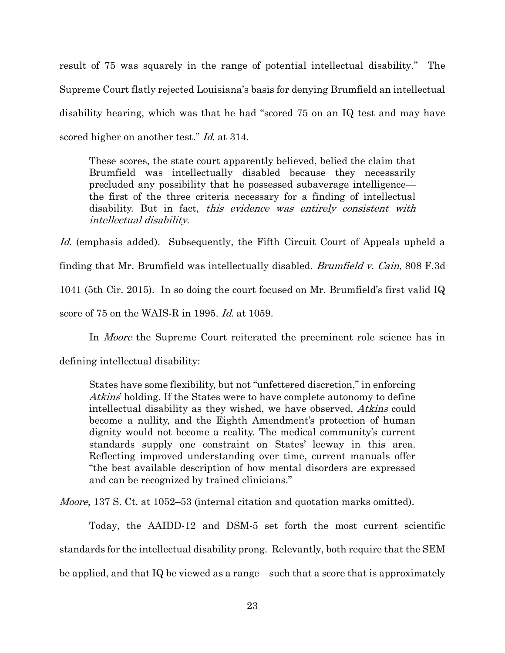result of 75 was squarely in the range of potential intellectual disability." The Supreme Court flatly rejected Louisiana's basis for denying Brumfield an intellectual disability hearing, which was that he had "scored 75 on an IQ test and may have scored higher on another test." *Id.* at 314.

These scores, the state court apparently believed, belied the claim that Brumfield was intellectually disabled because they necessarily precluded any possibility that he possessed subaverage intelligence the first of the three criteria necessary for a finding of intellectual disability. But in fact, this evidence was entirely consistent with intellectual disability.

Id. (emphasis added). Subsequently, the Fifth Circuit Court of Appeals upheld a finding that Mr. Brumfield was intellectually disabled. *Brumfield v. Cain*, 808 F.3d 1041 (5th Cir. 2015). In so doing the court focused on Mr. Brumfield's first valid IQ score of 75 on the WAIS-R in 1995. Id. at 1059.

In *Moore* the Supreme Court reiterated the preeminent role science has in

defining intellectual disability:

States have some flexibility, but not "unfettered discretion," in enforcing Atkins' holding. If the States were to have complete autonomy to define intellectual disability as they wished, we have observed, Atkins could become a nullity, and the Eighth Amendment's protection of human dignity would not become a reality. The medical community's current standards supply one constraint on States' leeway in this area. Reflecting improved understanding over time, current manuals offer "the best available description of how mental disorders are expressed and can be recognized by trained clinicians."

*Moore*, 137 S. Ct. at 1052–53 (internal citation and quotation marks omitted).

Today, the AAIDD-12 and DSM-5 set forth the most current scientific standards for the intellectual disability prong. Relevantly, both require that the SEM be applied, and that IQ be viewed as a range—such that a score that is approximately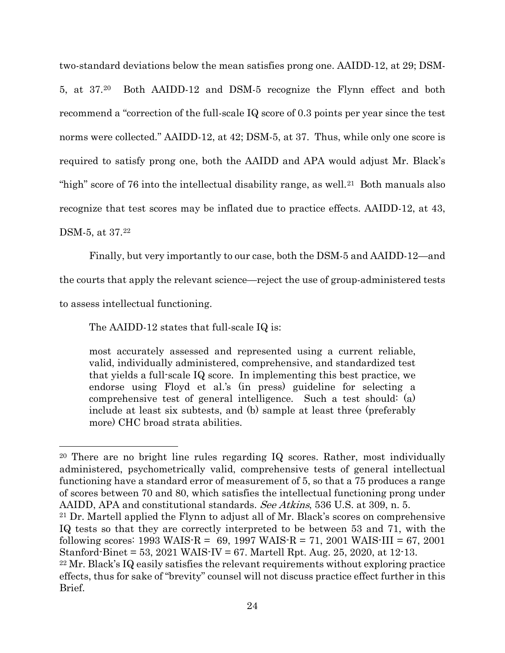two-standard deviations below the mean satisfies prong one. AAIDD-12, at 29; DSM-5, at 37.[20](#page-24-0) Both AAIDD-12 and DSM-5 recognize the Flynn effect and both recommend a "correction of the full-scale IQ score of 0.3 points per year since the test norms were collected." AAIDD-12, at 42; DSM-5, at 37. Thus, while only one score is required to satisfy prong one, both the AAIDD and APA would adjust Mr. Black's "high" score of 76 into the intellectual disability range, as well.<sup>21</sup> Both manuals also recognize that test scores may be inflated due to practice effects. AAIDD-12, at 43,

DSM-5, at 37[.22](#page-24-2)

 $\overline{a}$ 

Finally, but very importantly to our case, both the DSM-5 and AAIDD-12—and

the courts that apply the relevant science—reject the use of group-administered tests

to assess intellectual functioning.

The AAIDD-12 states that full-scale IQ is:

most accurately assessed and represented using a current reliable, valid, individually administered, comprehensive, and standardized test that yields a full-scale IQ score. In implementing this best practice, we endorse using Floyd et al.'s (in press) guideline for selecting a comprehensive test of general intelligence. Such a test should: (a) include at least six subtests, and (b) sample at least three (preferably more) CHC broad strata abilities.

<span id="page-24-0"></span><sup>20</sup> There are no bright line rules regarding IQ scores. Rather, most individually administered, psychometrically valid, comprehensive tests of general intellectual functioning have a standard error of measurement of 5, so that a 75 produces a range of scores between 70 and 80, which satisfies the intellectual functioning prong under AAIDD, APA and constitutional standards. See Atkins, 536 U.S. at 309, n. 5.

<span id="page-24-1"></span><sup>21</sup> Dr. Martell applied the Flynn to adjust all of Mr. Black's scores on comprehensive IQ tests so that they are correctly interpreted to be between 53 and 71, with the following scores:  $1993 \text{ WAIS-R} = 69, 1997 \text{ WAIS-R} = 71, 2001 \text{ WAIS-III} = 67, 2001$ Stanford-Binet = 53, 2021 WAIS-IV = 67. Martell Rpt. Aug. 25, 2020, at 12-13.

<span id="page-24-2"></span><sup>22</sup> Mr. Black's IQ easily satisfies the relevant requirements without exploring practice effects, thus for sake of "brevity" counsel will not discuss practice effect further in this Brief.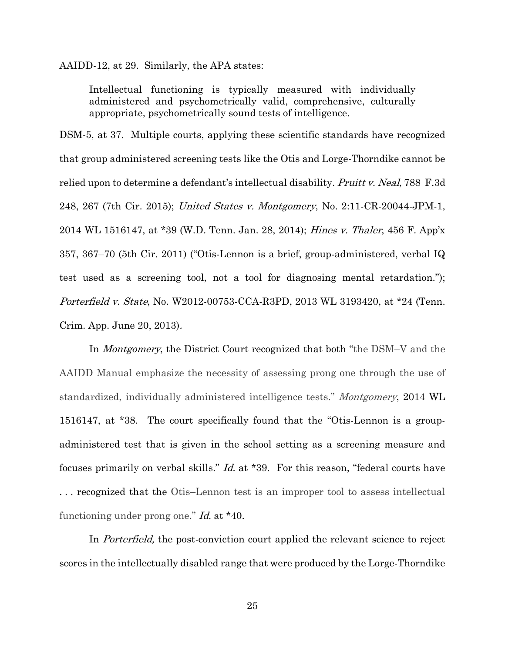AAIDD-12, at 29. Similarly, the APA states:

Intellectual functioning is typically measured with individually administered and psychometrically valid, comprehensive, culturally appropriate, psychometrically sound tests of intelligence.

DSM-5, at 37. Multiple courts, applying these scientific standards have recognized that group administered screening tests like the Otis and Lorge-Thorndike cannot be relied upon to determine a defendant's intellectual disability. *Pruitt v. Neal*, 788 F.3d 248, 267 (7th Cir. 2015); United States v. Montgomery, No. 2:11-CR-20044-JPM-1, 2014 WL 1516147, at \*39 (W.D. Tenn. Jan. 28, 2014); Hines v. Thaler, 456 F. App'x 357, 367–70 (5th Cir. 2011) ("Otis-Lennon is a brief, group-administered, verbal IQ test used as a screening tool, not a tool for diagnosing mental retardation."); Porterfield v. State, No. W2012-00753-CCA-R3PD, 2013 WL 3193420, at \*24 (Tenn. Crim. App. June 20, 2013).

In Montgomery, the District Court recognized that both "the DSM–V and the AAIDD Manual emphasize the necessity of assessing prong one through the use of standardized, individually administered intelligence tests." Montgomery, 2014 WL 1516147, at \*38. The court specifically found that the "Otis-Lennon is a groupadministered test that is given in the school setting as a screening measure and focuses primarily on verbal skills." Id. at \*39. For this reason, "federal courts have . . . recognized that the Otis–Lennon test is an improper tool to assess intellectual functioning under prong one." Id. at \*40.

In *Porterfield*, the post-conviction court applied the relevant science to reject scores in the intellectually disabled range that were produced by the Lorge-Thorndike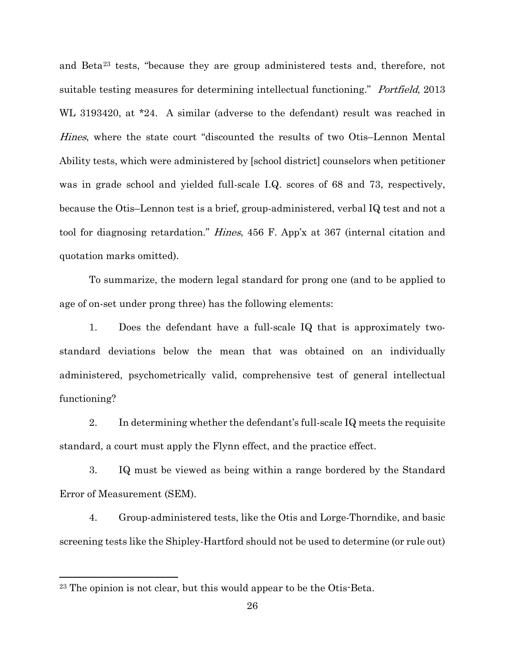and Beta[23](#page-26-0) tests, "because they are group administered tests and, therefore, not suitable testing measures for determining intellectual functioning." *Portfield*, 2013 WL 3193420, at \*24. A similar (adverse to the defendant) result was reached in Hines, where the state court "discounted the results of two Otis–Lennon Mental Ability tests, which were administered by [school district] counselors when petitioner was in grade school and yielded full-scale I.Q. scores of 68 and 73, respectively, because the Otis–Lennon test is a brief, group-administered, verbal IQ test and not a tool for diagnosing retardation." Hines, 456 F. App'x at 367 (internal citation and quotation marks omitted).

To summarize, the modern legal standard for prong one (and to be applied to age of on-set under prong three) has the following elements:

1. Does the defendant have a full-scale IQ that is approximately twostandard deviations below the mean that was obtained on an individually administered, psychometrically valid, comprehensive test of general intellectual functioning?

2. In determining whether the defendant's full-scale IQ meets the requisite standard, a court must apply the Flynn effect, and the practice effect.

3. IQ must be viewed as being within a range bordered by the Standard Error of Measurement (SEM).

4. Group-administered tests, like the Otis and Lorge-Thorndike, and basic screening tests like the Shipley-Hartford should not be used to determine (or rule out)

<span id="page-26-0"></span><sup>23</sup> The opinion is not clear, but this would appear to be the Otis-Beta.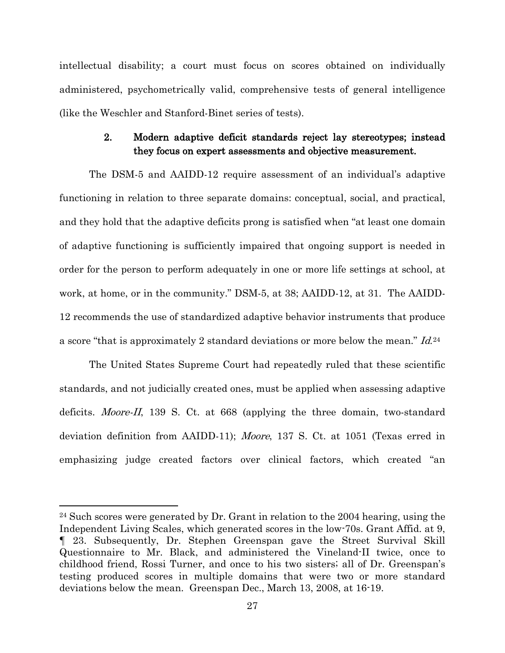intellectual disability; a court must focus on scores obtained on individually administered, psychometrically valid, comprehensive tests of general intelligence (like the Weschler and Stanford-Binet series of tests).

### 2. Modern adaptive deficit standards reject lay stereotypes; instead they focus on expert assessments and objective measurement.

<span id="page-27-0"></span>The DSM-5 and AAIDD-12 require assessment of an individual's adaptive functioning in relation to three separate domains: conceptual, social, and practical, and they hold that the adaptive deficits prong is satisfied when "at least one domain of adaptive functioning is sufficiently impaired that ongoing support is needed in order for the person to perform adequately in one or more life settings at school, at work, at home, or in the community." DSM-5, at 38; AAIDD-12, at 31. The AAIDD-12 recommends the use of standardized adaptive behavior instruments that produce a score "that is approximately 2 standard deviations or more below the mean." Id.[24](#page-27-1)

The United States Supreme Court had repeatedly ruled that these scientific standards, and not judicially created ones, must be applied when assessing adaptive deficits. *Moore-II*, 139 S. Ct. at 668 (applying the three domain, two-standard deviation definition from AAIDD-11); Moore, 137 S. Ct. at 1051 (Texas erred in emphasizing judge created factors over clinical factors, which created "an

<span id="page-27-1"></span><sup>24</sup> Such scores were generated by Dr. Grant in relation to the 2004 hearing, using the Independent Living Scales, which generated scores in the low-70s. Grant Affid. at 9, ¶ 23. Subsequently, Dr. Stephen Greenspan gave the Street Survival Skill Questionnaire to Mr. Black, and administered the Vineland-II twice, once to childhood friend, Rossi Turner, and once to his two sisters; all of Dr. Greenspan's testing produced scores in multiple domains that were two or more standard deviations below the mean. Greenspan Dec., March 13, 2008, at 16-19.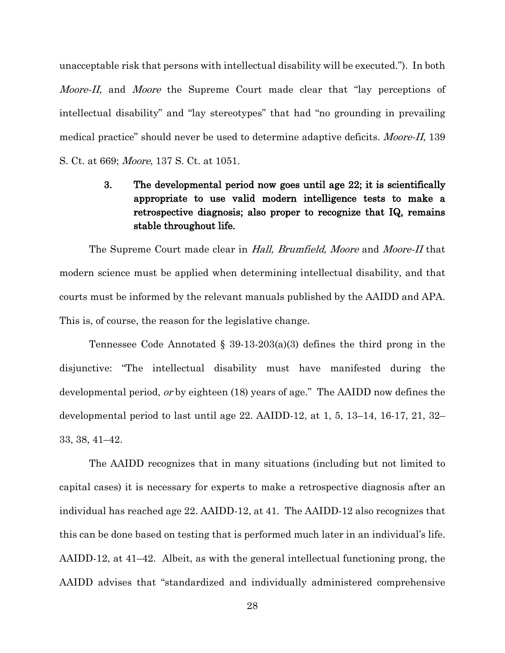unacceptable risk that persons with intellectual disability will be executed."). In both *Moore-II*, and *Moore* the Supreme Court made clear that "lay perceptions of intellectual disability" and "lay stereotypes" that had "no grounding in prevailing medical practice" should never be used to determine adaptive deficits. *Moore-II*, 139 S. Ct. at 669; Moore, 137 S. Ct. at 1051.

# <span id="page-28-0"></span>3. The developmental period now goes until age 22; it is scientifically appropriate to use valid modern intelligence tests to make a retrospective diagnosis; also proper to recognize that IQ, remains stable throughout life.

The Supreme Court made clear in Hall, Brumfield, Moore and Moore-II that modern science must be applied when determining intellectual disability, and that courts must be informed by the relevant manuals published by the AAIDD and APA. This is, of course, the reason for the legislative change.

Tennessee Code Annotated  $\S$  39-13-203(a)(3) defines the third prong in the disjunctive: "The intellectual disability must have manifested during the developmental period, or by eighteen (18) years of age." The AAIDD now defines the developmental period to last until age 22. AAIDD-12, at 1, 5, 13–14, 16-17, 21, 32– 33, 38, 41–42.

The AAIDD recognizes that in many situations (including but not limited to capital cases) it is necessary for experts to make a retrospective diagnosis after an individual has reached age 22. AAIDD-12, at 41. The AAIDD-12 also recognizes that this can be done based on testing that is performed much later in an individual's life. AAIDD-12, at 41–42. Albeit, as with the general intellectual functioning prong, the AAIDD advises that "standardized and individually administered comprehensive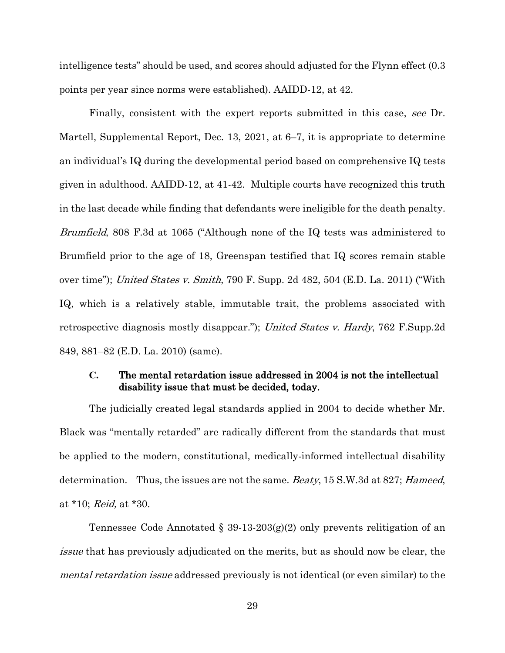intelligence tests" should be used, and scores should adjusted for the Flynn effect (0.3 points per year since norms were established). AAIDD-12, at 42.

Finally, consistent with the expert reports submitted in this case, see Dr. Martell, Supplemental Report, Dec. 13, 2021, at 6–7, it is appropriate to determine an individual's IQ during the developmental period based on comprehensive IQ tests given in adulthood. AAIDD-12, at 41-42. Multiple courts have recognized this truth in the last decade while finding that defendants were ineligible for the death penalty. Brumfield, 808 F.3d at 1065 ("Although none of the IQ tests was administered to Brumfield prior to the age of 18, Greenspan testified that IQ scores remain stable over time"); United States v. Smith, 790 F. Supp. 2d 482, 504 (E.D. La. 2011) ("With IQ, which is a relatively stable, immutable trait, the problems associated with retrospective diagnosis mostly disappear."); United States v. Hardy, 762 F.Supp.2d 849, 881–82 (E.D. La. 2010) (same).

#### <span id="page-29-0"></span>**C.** The mental retardation issue addressed in 2004 is not the intellectual disability issue that must be decided, today.

The judicially created legal standards applied in 2004 to decide whether Mr. Black was "mentally retarded" are radically different from the standards that must be applied to the modern, constitutional, medically-informed intellectual disability determination. Thus, the issues are not the same. *Beaty*, 15 S.W.3d at 827; *Hameed*, at \*10; Reid, at \*30.

Tennessee Code Annotated § 39-13-203(g)(2) only prevents relitigation of an issue that has previously adjudicated on the merits, but as should now be clear, the mental retardation issue addressed previously is not identical (or even similar) to the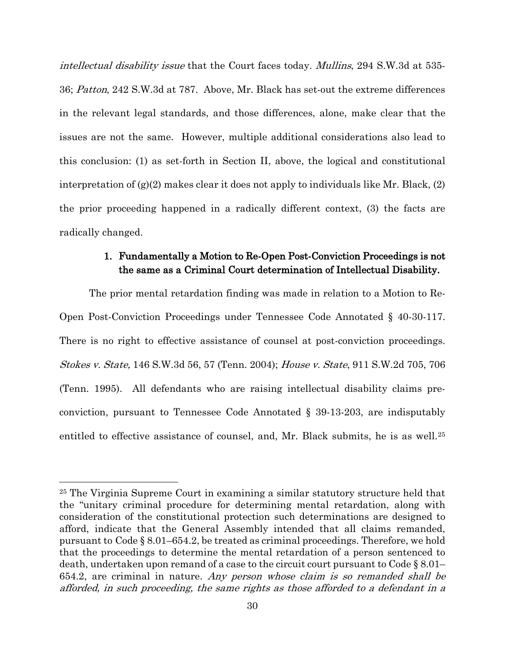intellectual disability issue that the Court faces today. Mullins, 294 S.W.3d at 535- 36; Patton, 242 S.W.3d at 787. Above, Mr. Black has set-out the extreme differences in the relevant legal standards, and those differences, alone, make clear that the issues are not the same. However, multiple additional considerations also lead to this conclusion: (1) as set-forth in Section II, above, the logical and constitutional interpretation of (g)(2) makes clear it does not apply to individuals like Mr. Black, (2) the prior proceeding happened in a radically different context, (3) the facts are radically changed.

#### 1. Fundamentally a Motion to Re-Open Post-Conviction Proceedings is not the same as a Criminal Court determination of Intellectual Disability.

<span id="page-30-0"></span>The prior mental retardation finding was made in relation to a Motion to Re-Open Post-Conviction Proceedings under Tennessee Code Annotated § 40-30-117. There is no right to effective assistance of counsel at post-conviction proceedings. Stokes v. State, 146 S.W.3d 56, 57 (Tenn. 2004); House v. State, 911 S.W.2d 705, 706 (Tenn. 1995). All defendants who are raising intellectual disability claims preconviction, pursuant to Tennessee Code Annotated § 39-13-203, are indisputably entitled to effective assistance of counsel, and, Mr. Black submits, he is as well.<sup>[25](#page-30-1)</sup>

<span id="page-30-1"></span><sup>25</sup> The Virginia Supreme Court in examining a similar statutory structure held that the "unitary criminal procedure for determining mental retardation, along with consideration of the constitutional protection such determinations are designed to afford, indicate that the General Assembly intended that all claims remanded, pursuant to Code § 8.01–654.2, be treated as criminal proceedings. Therefore, we hold that the proceedings to determine the mental retardation of a person sentenced to death, undertaken upon remand of a case to the circuit court pursuant to Code § 8.01– 654.2, are criminal in nature. Any person whose claim is so remanded shall be afforded, in such proceeding, the same rights as those afforded to a defendant in a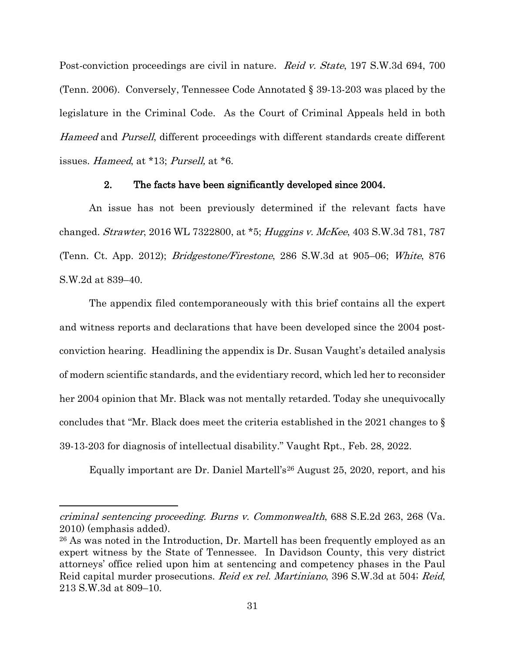Post-conviction proceedings are civil in nature. Reid v. State, 197 S.W.3d 694, 700 (Tenn. 2006). Conversely, Tennessee Code Annotated § 39-13-203 was placed by the legislature in the Criminal Code. As the Court of Criminal Appeals held in both Hameed and Pursell, different proceedings with different standards create different issues. Hameed, at \*13; Pursell, at \*6.

#### 2. The facts have been significantly developed since 2004.

<span id="page-31-0"></span>An issue has not been previously determined if the relevant facts have changed. Strawter, 2016 WL 7322800, at \*5; Huggins v. McKee, 403 S.W.3d 781, 787 (Tenn. Ct. App. 2012); Bridgestone/Firestone, 286 S.W.3d at 905–06; White, 876 S.W.2d at 839–40.

The appendix filed contemporaneously with this brief contains all the expert and witness reports and declarations that have been developed since the 2004 postconviction hearing. Headlining the appendix is Dr. Susan Vaught's detailed analysis of modern scientific standards, and the evidentiary record, which led her to reconsider her 2004 opinion that Mr. Black was not mentally retarded. Today she unequivocally concludes that "Mr. Black does meet the criteria established in the 2021 changes to § 39-13-203 for diagnosis of intellectual disability." Vaught Rpt., Feb. 28, 2022.

Equally important are Dr. Daniel Martell's[26](#page-31-1) August 25, 2020, report, and his

criminal sentencing proceeding. Burns v. Commonwealth, 688 S.E.2d 263, 268 (Va. 2010) (emphasis added).

<span id="page-31-1"></span><sup>26</sup> As was noted in the Introduction, Dr. Martell has been frequently employed as an expert witness by the State of Tennessee. In Davidson County, this very district attorneys' office relied upon him at sentencing and competency phases in the Paul Reid capital murder prosecutions. Reid ex rel. Martiniano, 396 S.W.3d at 504; Reid, 213 S.W.3d at 809–10.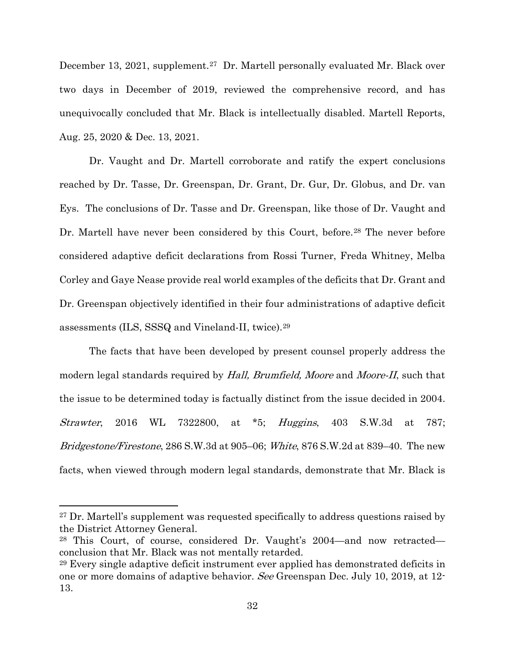December 13, 2021, supplement.<sup>[27](#page-32-0)</sup> Dr. Martell personally evaluated Mr. Black over two days in December of 2019, reviewed the comprehensive record, and has unequivocally concluded that Mr. Black is intellectually disabled. Martell Reports, Aug. 25, 2020 & Dec. 13, 2021.

Dr. Vaught and Dr. Martell corroborate and ratify the expert conclusions reached by Dr. Tasse, Dr. Greenspan, Dr. Grant, Dr. Gur, Dr. Globus, and Dr. van Eys. The conclusions of Dr. Tasse and Dr. Greenspan, like those of Dr. Vaught and Dr. Martell have never been considered by this Court, before.<sup>[28](#page-32-1)</sup> The never before considered adaptive deficit declarations from Rossi Turner, Freda Whitney, Melba Corley and Gaye Nease provide real world examples of the deficits that Dr. Grant and Dr. Greenspan objectively identified in their four administrations of adaptive deficit assessments (ILS, SSSQ and Vineland-II, twice).[29](#page-32-2) 

The facts that have been developed by present counsel properly address the modern legal standards required by Hall, Brumfield, Moore and Moore-II, such that the issue to be determined today is factually distinct from the issue decided in 2004. Strawter, 2016 WL 7322800, at \*5; Huggins, 403 S.W.3d at 787; Bridgestone/Firestone, 286 S.W.3d at 905–06; White, 876 S.W.2d at 839–40. The new facts, when viewed through modern legal standards, demonstrate that Mr. Black is

<span id="page-32-0"></span><sup>27</sup> Dr. Martell's supplement was requested specifically to address questions raised by the District Attorney General.

<span id="page-32-1"></span><sup>28</sup> This Court, of course, considered Dr. Vaught's 2004—and now retracted conclusion that Mr. Black was not mentally retarded.

<span id="page-32-2"></span><sup>29</sup> Every single adaptive deficit instrument ever applied has demonstrated deficits in one or more domains of adaptive behavior. See Greenspan Dec. July 10, 2019, at 12- 13.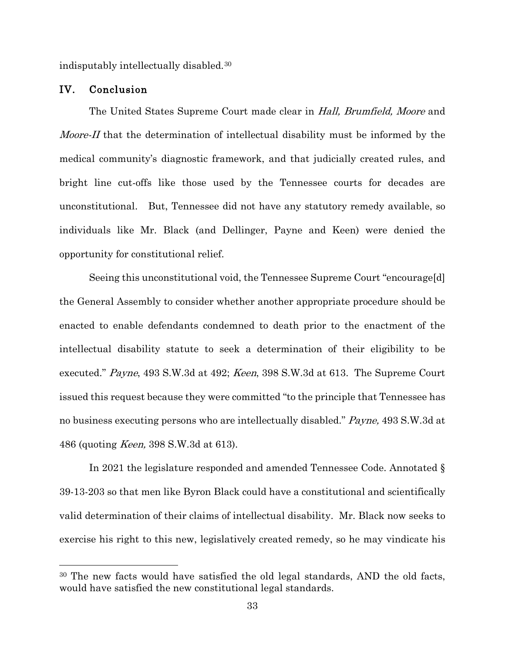indisputably intellectually disabled.[30](#page-33-1)

#### <span id="page-33-0"></span>IV. Conclusion

 $\overline{a}$ 

The United States Supreme Court made clear in *Hall, Brumfield, Moore* and Moore-II that the determination of intellectual disability must be informed by the medical community's diagnostic framework, and that judicially created rules, and bright line cut-offs like those used by the Tennessee courts for decades are unconstitutional. But, Tennessee did not have any statutory remedy available, so individuals like Mr. Black (and Dellinger, Payne and Keen) were denied the opportunity for constitutional relief.

Seeing this unconstitutional void, the Tennessee Supreme Court "encourage[d] the General Assembly to consider whether another appropriate procedure should be enacted to enable defendants condemned to death prior to the enactment of the intellectual disability statute to seek a determination of their eligibility to be executed." Payne, 493 S.W.3d at 492; Keen, 398 S.W.3d at 613. The Supreme Court issued this request because they were committed "to the principle that Tennessee has no business executing persons who are intellectually disabled." Payne, 493 S.W.3d at 486 (quoting Keen, 398 S.W.3d at 613).

In 2021 the legislature responded and amended Tennessee Code. Annotated § 39-13-203 so that men like Byron Black could have a constitutional and scientifically valid determination of their claims of intellectual disability. Mr. Black now seeks to exercise his right to this new, legislatively created remedy, so he may vindicate his

<span id="page-33-1"></span><sup>30</sup> The new facts would have satisfied the old legal standards, AND the old facts, would have satisfied the new constitutional legal standards.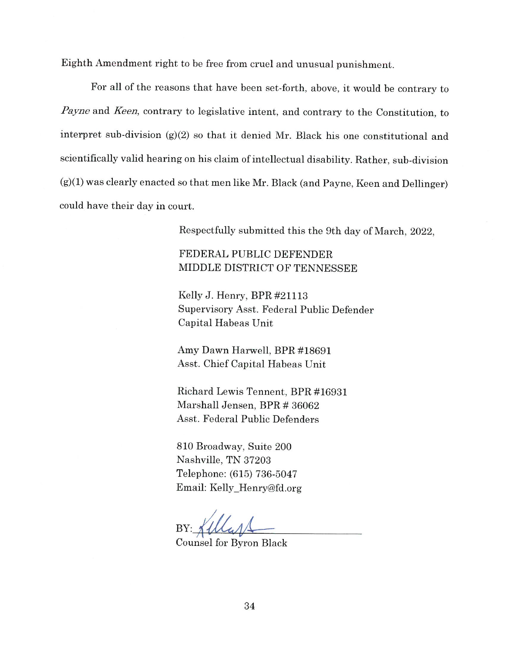Eighth Amendment right to be free from cruel and unusual punishment.

For all of the reasons that have been set-forth, above, it would be contrary to Payne and Keen, contrary to legislative intent, and contrary to the Constitution, to interpret sub-division (g)(2) so that it denied Mr. Black his one constitutional and scientifically valid hearing on his claim of intellectual disability. Rather, sub-division  $(g)(1)$  was clearly enacted so that men like Mr. Black (and Payne, Keen and Dellinger) could have their day in court.

Respectfully submitted this the 9th day of March, 2022,

FEDERAL PUBLIC DEFENDER MIDDLE DISTRICT OF TENNESSEE

Kelly J. Henry, BPR #21113 Supervisory Asst. Federal Public Defender Capital Habeas Unit

Amy Dawn Harwell, BPR #18691 Asst. Chief Capital Habeas Unit

Richard Lewis Tennent, BPR #16931 Marshall Jensen, BPR # 36062 Asst. Federal Public Defenders

810 Broadway, Suite 200 Nashville, TN 37203 Telephone: (615) 736-5047 Email: Kelly\_Henry@fd.org

**Counsel for Byron Black**